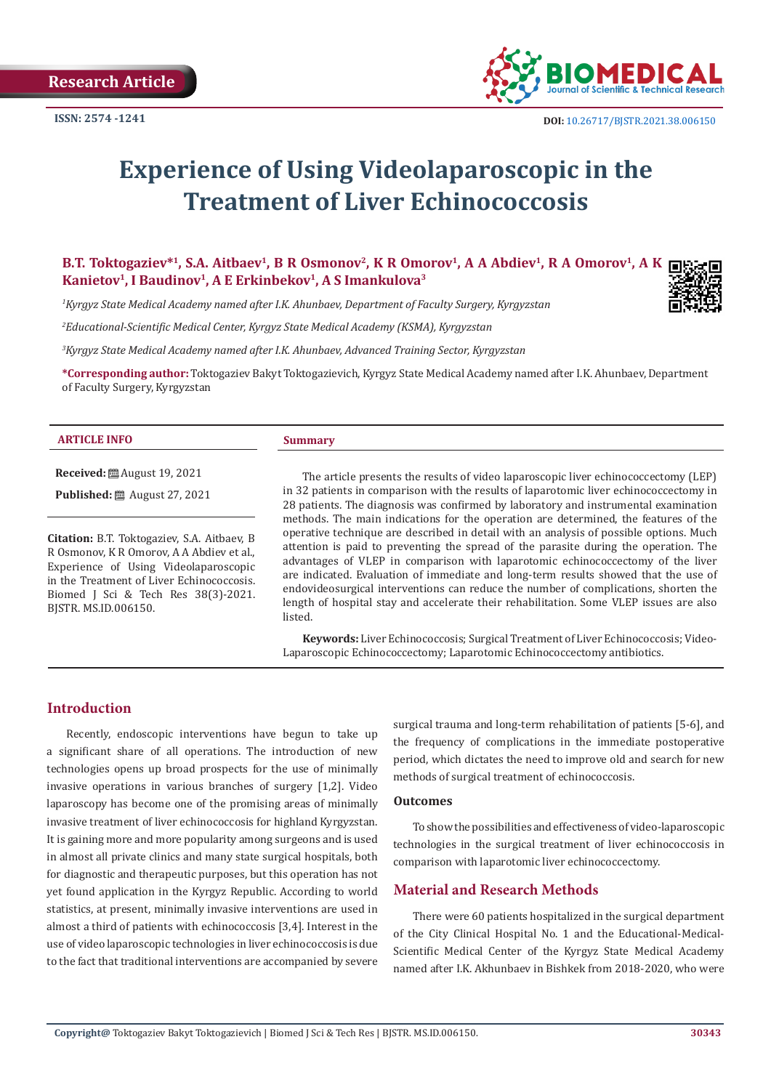

# **Experience of Using Videolaparoscopic in the Treatment of Liver Echinococcosis**

**B.T. Toktogaziev\*1, S.A. Aitbaev1, B R Osmonov2, K R Omorov1, A A Abdiev1, R A Omorov1, A K** Kanietov<sup>1</sup>, I Baudinov<sup>1</sup>, A E Erkinbekov<sup>1</sup>, A S Imankulova<sup>3</sup>

*1 Kyrgyz State Medical Academy named after I.K. Ahunbaev, Department of Faculty Surgery, Kyrgyzstan*

*2 Educational-Scientific Medical Center, Kyrgyz State Medical Academy (KSMA), Kyrgyzstan* 

*3 Kyrgyz State Medical Academy named after I.K. Ahunbaev, Advanced Training Sector, Kyrgyzstan*

**\*Corresponding author:** Toktogaziev Bakyt Toktogazievich, Kyrgyz State Medical Academy named after I.K. Ahunbaev, Department of Faculty Surgery, Kyrgyzstan

#### **ARTICLE INFO Summary**

**Received:** August 19, 2021 **Published:** ■ August 27, 2021

**Citation:** B.T. Toktogaziev, S.A. Aitbaev, B R Osmonov, K R Omorov, A A Abdiev et al., Experience of Using Videolaparoscopic in the Treatment of Liver Echinococcosis. Biomed J Sci & Tech Res 38(3)-2021. BJSTR. MS.ID.006150.

The article presents the results of video laparoscopic liver echinococcectomy (LEP) in 32 patients in comparison with the results of laparotomic liver echinococcectomy in 28 patients. The diagnosis was confirmed by laboratory and instrumental examination methods. The main indications for the operation are determined, the features of the operative technique are described in detail with an analysis of possible options. Much attention is paid to preventing the spread of the parasite during the operation. The advantages of VLEP in comparison with laparotomic echinococcectomy of the liver are indicated. Evaluation of immediate and long-term results showed that the use of endovideosurgical interventions can reduce the number of complications, shorten the length of hospital stay and accelerate their rehabilitation. Some VLEP issues are also listed.

**Keywords:** Liver Echinococcosis; Surgical Treatment of Liver Echinococcosis; Video-Laparoscopic Echinococcectomy; Laparotomic Echinococcectomy antibiotics.

## **Introduction**

Recently, endoscopic interventions have begun to take up a significant share of all operations. The introduction of new technologies opens up broad prospects for the use of minimally invasive operations in various branches of surgery [1,2]. Video laparoscopy has become one of the promising areas of minimally invasive treatment of liver echinococcosis for highland Kyrgyzstan. It is gaining more and more popularity among surgeons and is used in almost all private clinics and many state surgical hospitals, both for diagnostic and therapeutic purposes, but this operation has not yet found application in the Kyrgyz Republic. According to world statistics, at present, minimally invasive interventions are used in almost a third of patients with echinococcosis [3,4]. Interest in the use of video laparoscopic technologies in liver echinococcosis is due to the fact that traditional interventions are accompanied by severe

surgical trauma and long-term rehabilitation of patients [5-6], and the frequency of complications in the immediate postoperative period, which dictates the need to improve old and search for new methods of surgical treatment of echinococcosis.

#### **Outcomes**

To show the possibilities and effectiveness of video-laparoscopic technologies in the surgical treatment of liver echinococcosis in comparison with laparotomic liver echinococcectomy.

#### **Material and Research Methods**

There were 60 patients hospitalized in the surgical department of the City Clinical Hospital No. 1 and the Educational-Medical-Scientific Medical Center of the Kyrgyz State Medical Academy named after I.K. Akhunbaev in Bishkek from 2018-2020, who were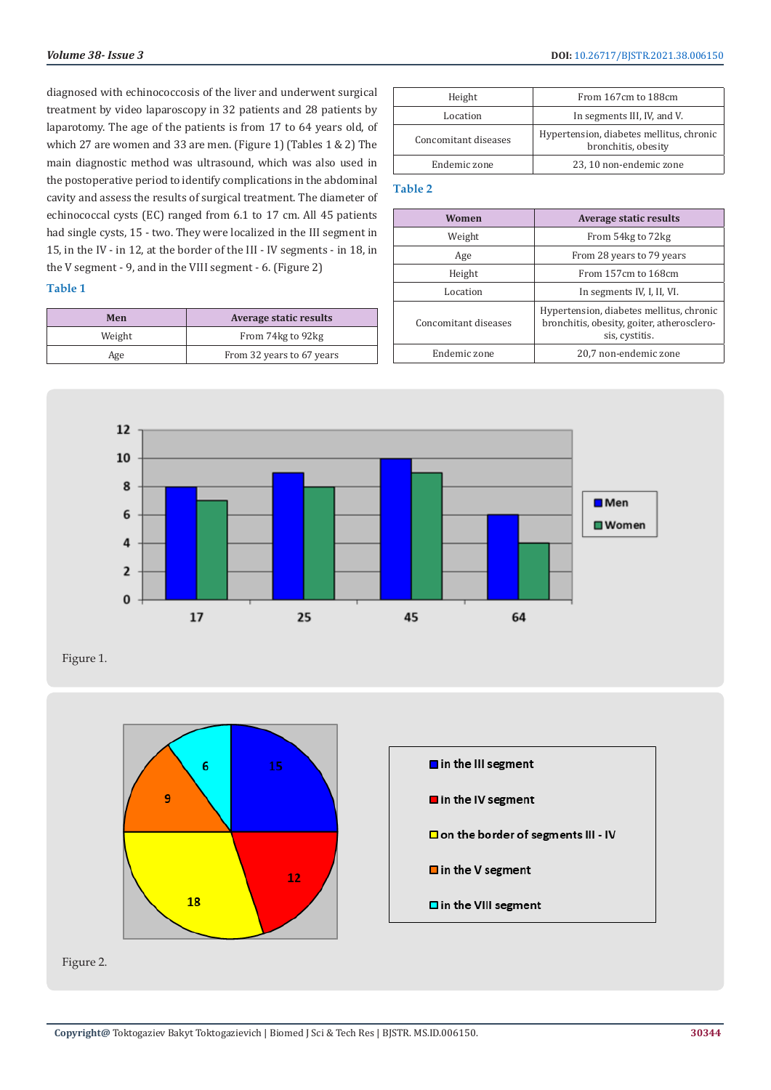diagnosed with echinococcosis of the liver and underwent surgical treatment by video laparoscopy in 32 patients and 28 patients by laparotomy. The age of the patients is from 17 to 64 years old, of which 27 are women and 33 are men. (Figure 1) (Tables 1 & 2) The main diagnostic method was ultrasound, which was also used in the postoperative period to identify complications in the abdominal cavity and assess the results of surgical treatment. The diameter of echinococcal cysts (EC) ranged from 6.1 to 17 cm. All 45 patients had single cysts, 15 - two. They were localized in the III segment in 15, in the IV - in 12, at the border of the III - IV segments - in 18, in the V segment - 9, and in the VIII segment - 6. (Figure 2)

### **Table 1**

| Men    | Average static results    |
|--------|---------------------------|
| Weight | From 74kg to 92kg         |
| Age    | From 32 years to 67 years |

| Height               | From 167cm to 188cm                                             |
|----------------------|-----------------------------------------------------------------|
| Location             | In segments III, IV, and V.                                     |
| Concomitant diseases | Hypertension, diabetes mellitus, chronic<br>bronchitis, obesity |
| Endemic zone         | 23, 10 non-endemic zone                                         |

#### **Table 2**

| Women                | <b>Average static results</b>                                                                            |
|----------------------|----------------------------------------------------------------------------------------------------------|
| Weight               | From 54kg to 72kg                                                                                        |
| Age                  | From 28 years to 79 years                                                                                |
| Height               | From 157cm to 168cm                                                                                      |
| Location             | In segments IV, I, II, VI.                                                                               |
| Concomitant diseases | Hypertension, diabetes mellitus, chronic<br>bronchitis, obesity, goiter, atherosclero-<br>sis, cystitis. |
| Endemic zone         | 20,7 non-endemic zone                                                                                    |



Figure 1.



Figure 2.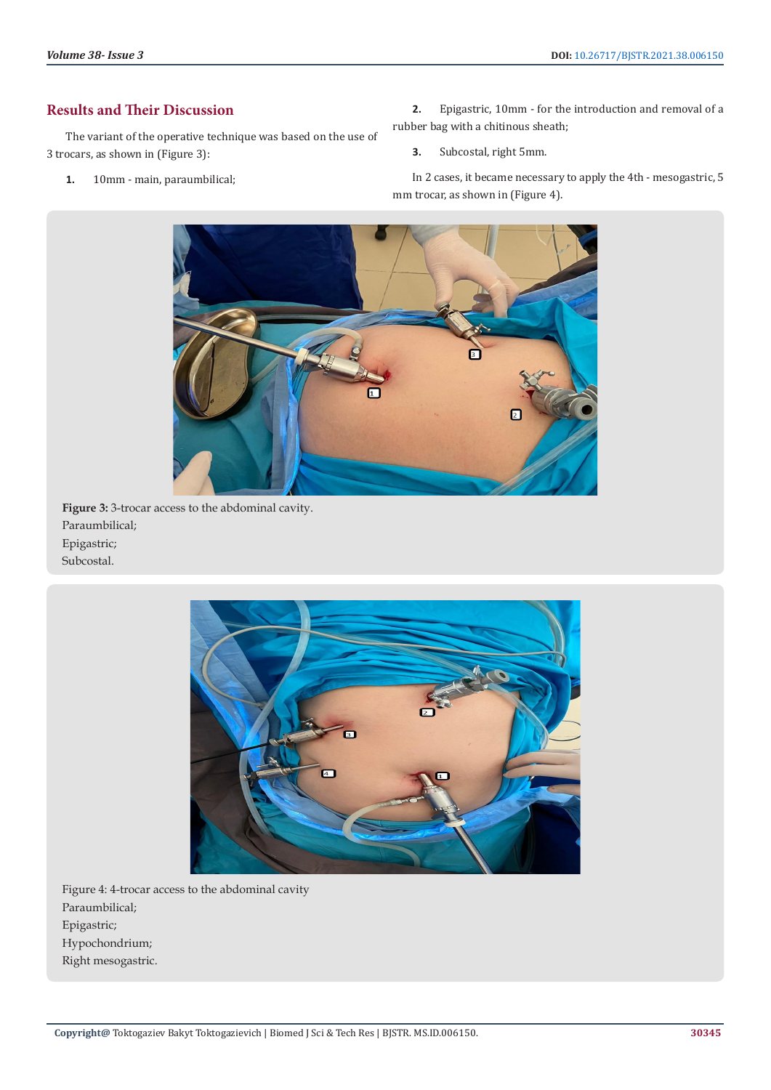# **Results and Their Discussion**

The variant of the operative technique was based on the use of 3 trocars, as shown in (Figure 3):

**1.** 10mm - main, paraumbilical;

**2.** Epigastric, 10mm - for the introduction and removal of a rubber bag with a chitinous sheath;

**3.** Subcostal, right 5mm.

In 2 cases, it became necessary to apply the 4th - mesogastric, 5 mm trocar, as shown in (Figure 4).



**Figure 3:** 3-trocar access to the abdominal cavity. Paraumbilical; Epigastric; Subcostal.



Figure 4: 4-trocar access to the abdominal cavity Paraumbilical; Epigastric; Hypochondrium; Right mesogastric.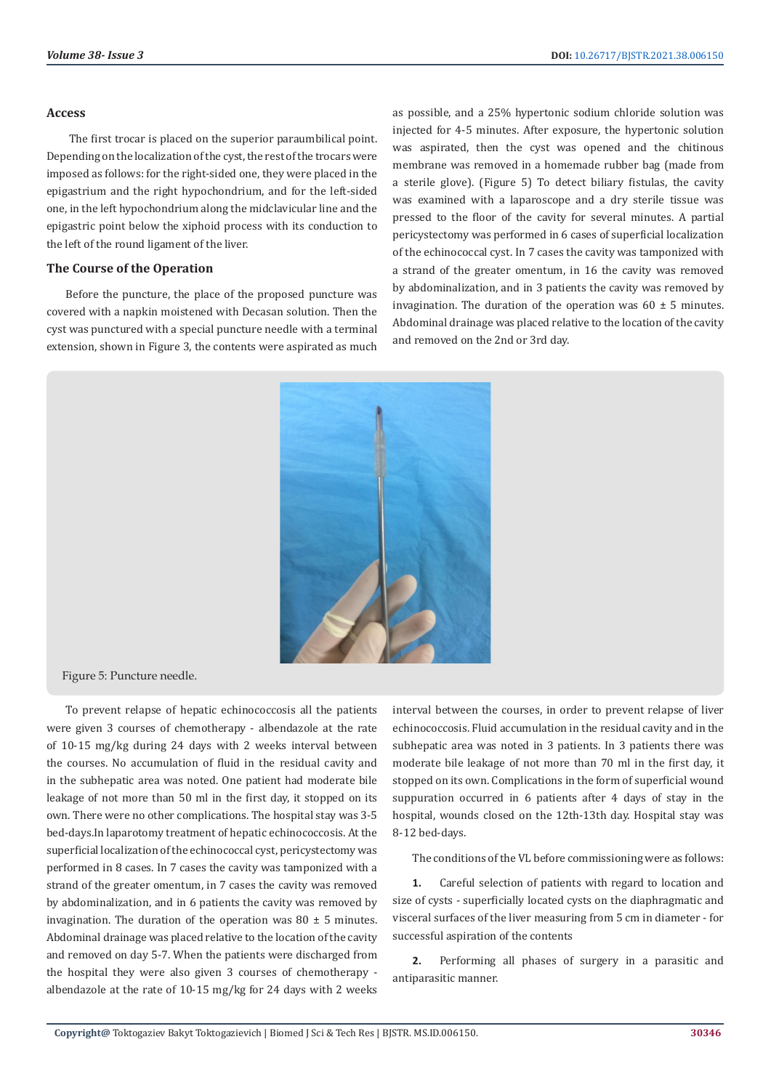#### **Access**

The first trocar is placed on the superior paraumbilical point. Depending on the localization of the cyst, the rest of the trocars were imposed as follows: for the right-sided one, they were placed in the epigastrium and the right hypochondrium, and for the left-sided one, in the left hypochondrium along the midclavicular line and the epigastric point below the xiphoid process with its conduction to the left of the round ligament of the liver.

#### **The Course of the Operation**

Before the puncture, the place of the proposed puncture was covered with a napkin moistened with Decasan solution. Then the cyst was punctured with a special puncture needle with a terminal extension, shown in Figure 3, the contents were aspirated as much

as possible, and a 25% hypertonic sodium chloride solution was injected for 4-5 minutes. After exposure, the hypertonic solution was aspirated, then the cyst was opened and the chitinous membrane was removed in a homemade rubber bag (made from a sterile glove). (Figure 5) To detect biliary fistulas, the cavity was examined with a laparoscope and a dry sterile tissue was pressed to the floor of the cavity for several minutes. A partial pericystectomy was performed in 6 cases of superficial localization of the echinococcal cyst. In 7 cases the cavity was tamponized with a strand of the greater omentum, in 16 the cavity was removed by abdominalization, and in 3 patients the cavity was removed by invagination. The duration of the operation was  $60 \pm 5$  minutes. Abdominal drainage was placed relative to the location of the cavity and removed on the 2nd or 3rd day.



Figure 5: Puncture needle.

To prevent relapse of hepatic echinococcosis all the patients were given 3 courses of chemotherapy - albendazole at the rate of 10-15 mg/kg during 24 days with 2 weeks interval between the courses. No accumulation of fluid in the residual cavity and in the subhepatic area was noted. One patient had moderate bile leakage of not more than 50 ml in the first day, it stopped on its own. There were no other complications. The hospital stay was 3-5 bed-days.In laparotomy treatment of hepatic echinococcosis. At the superficial localization of the echinococcal cyst, pericystectomy was performed in 8 cases. In 7 cases the cavity was tamponized with a strand of the greater omentum, in 7 cases the cavity was removed by abdominalization, and in 6 patients the cavity was removed by invagination. The duration of the operation was  $80 \pm 5$  minutes. Abdominal drainage was placed relative to the location of the cavity and removed on day 5-7. When the patients were discharged from the hospital they were also given 3 courses of chemotherapy albendazole at the rate of 10-15 mg/kg for 24 days with 2 weeks

interval between the courses, in order to prevent relapse of liver echinococcosis. Fluid accumulation in the residual cavity and in the subhepatic area was noted in 3 patients. In 3 patients there was moderate bile leakage of not more than 70 ml in the first day, it stopped on its own. Complications in the form of superficial wound suppuration occurred in 6 patients after 4 days of stay in the hospital, wounds closed on the 12th-13th day. Hospital stay was 8-12 bed-days.

The conditions of the VL before commissioning were as follows:

**1.** Careful selection of patients with regard to location and size of cysts - superficially located cysts on the diaphragmatic and visceral surfaces of the liver measuring from 5 cm in diameter - for successful aspiration of the contents

**2.** Performing all phases of surgery in a parasitic and antiparasitic manner.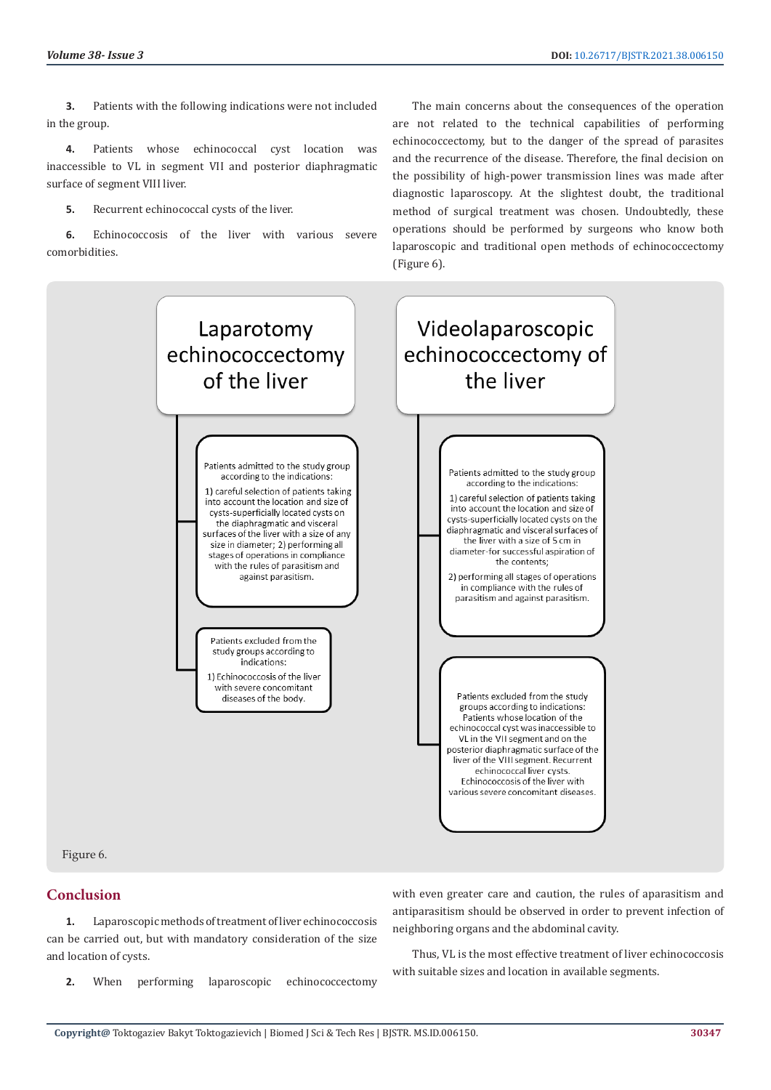**3.** Patients with the following indications were not included in the group.

**4.** Patients whose echinococcal cyst location was inaccessible to VL in segment VII and posterior diaphragmatic surface of segment VIII liver.

**5.** Recurrent echinococcal cysts of the liver.

**6.** Echinococcosis of the liver with various severe comorbidities.

The main concerns about the consequences of the operation are not related to the technical capabilities of performing echinococcectomy, but to the danger of the spread of parasites and the recurrence of the disease. Therefore, the final decision on the possibility of high-power transmission lines was made after diagnostic laparoscopy. At the slightest doubt, the traditional method of surgical treatment was chosen. Undoubtedly, these operations should be performed by surgeons who know both laparoscopic and traditional open methods of echinococcectomy (Figure 6).



#### Figure 6.

# **Conclusion**

**1.** Laparoscopic methods of treatment of liver echinococcosis can be carried out, but with mandatory consideration of the size and location of cysts.

**2.** When performing laparoscopic echinococcectomy

with even greater care and caution, the rules of aparasitism and antiparasitism should be observed in order to prevent infection of neighboring organs and the abdominal cavity.

Thus, VL is the most effective treatment of liver echinococcosis with suitable sizes and location in available segments.